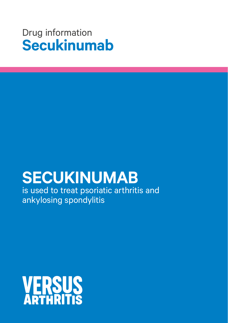## Drug information **Secukinumab**

# **SECUKINUMAB**

is used to treat psoriatic arthritis and ankylosing spondylitis

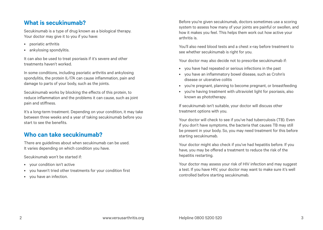#### **What is secukinumab?**

Secukinumab is a type of drug known as a biological therapy. Your doctor may give it to you if you have:

- psoriatic arthritis
- ankylosing spondylitis.

It can also be used to treat psoriasis if it's severe and other treatments haven't worked.

In some conditions, including psoriatic arthritis and ankylosing spondylitis, the protein IL-17A can cause inflammation, pain and damage to parts of your body, such as the joints.

Secukinumab works by blocking the effects of this protein, to reduce inflammation and the problems it can cause, such as joint pain and stiffness.

It's a long-term treatment. Depending on your condition, it may take between three weeks and a year of taking secukinumab before you start to see the benefits.

### **Who can take secukinumab?**

There are guidelines about when secukinumab can be used. It varies depending on which condition you have.

Secukinumab won't be started if:

- your condition isn't active
- you haven't tried other treatments for your condition first
- you have an infection.

Before you're given secukinumab, doctors sometimes use a scoring system to assess how many of your joints are painful or swollen, and how it makes you feel. This helps them work out how active your arthritis is.

You'll also need blood tests and a chest x-ray before treatment to see whether secukinumab is right for you.

Your doctor may also decide not to prescribe secukinumab if:

- you have had repeated or serious infections in the past
- you have an inflammatory bowel disease, such as Crohn's disease or ulcerative colitis
- you're pregnant, planning to become pregnant, or breastfeeding
- you're having treatment with ultraviolet light for psoriasis, also known as phototherapy.

If secukinumab isn't suitable, your doctor will discuss other treatment options with you.

Your doctor will check to see if you've had tuberculosis (TB). Even if you don't have symptoms, the bacteria that causes TB may still be present in your body. So, you may need treatment for this before starting secukinumab.

Your doctor might also check if you've had hepatitis before. If you have, you may be offered a treatment to reduce the risk of the hepatitis restarting.

Your doctor may assess your risk of HIV infection and may suggest a test. If you have HIV, your doctor may want to make sure it's well controlled before starting secukinumab.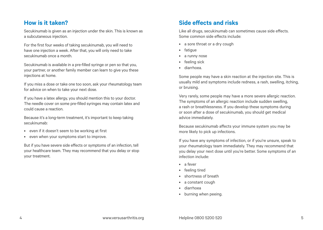#### **How is it taken?**

Secukinumab is given as an injection under the skin. This is known as a subcutaneous injection.

For the first four weeks of taking secukinumab, you will need to have one injection a week. After that, you will only need to take secukinumab once a month.

Secukinumab is available in a pre-filled syringe or pen so that you, your partner, or another family member can learn to give you these injections at home.

If you miss a dose or take one too soon, ask your rheumatology team for advice on when to take your next dose.

If you have a latex allergy, you should mention this to your doctor. The needle cover on some pre-filled syringes may contain latex and could cause a reaction.

Because it's a long-term treatment, it's important to keep taking secukinumab:

- even if it doesn't seem to be working at first
- even when your symptoms start to improve.

But if you have severe side effects or symptoms of an infection, tell your healthcare team. They may recommend that you delay or stop your treatment.

## **Side effects and risks**

Like all drugs, secukinumab can sometimes cause side effects. Some common side effects include:

- a sore throat or a dry cough
- fatigue
- a runny nose
- feeling sick
- diarrhoea.

Some people may have a skin reaction at the injection site. This is usually mild and symptoms include redness, a rash, swelling, itching, or bruising.

Very rarely, some people may have a more severe allergic reaction. The symptoms of an allergic reaction include sudden swelling, a rash or breathlessness. If you develop these symptoms during or soon after a dose of secukinumab, you should get medical advice immediately.

Because secukinumab affects your immune system you may be more likely to pick up infections.

If you have any symptoms of infection, or if you're unsure, speak to your rheumatology team immediately. They may recommend that you delay your next dose until you're better. Some symptoms of an infection include:

- a fever
- feeling tired
- shortness of breath
- a constant cough
- diarrhoea
- burning when peeing.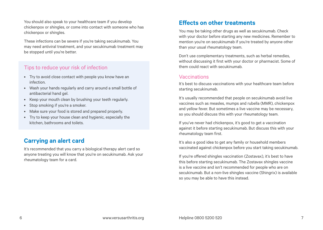You should also speak to your healthcare team if you develop chickenpox or shingles, or come into contact with someone who has chickenpox or shingles.

These infections can be severe if you're taking secukinumab. You may need antiviral treatment, and your secukinumab treatment may be stopped until you're better.

#### Tips to reduce your risk of infection

- Try to avoid close contact with people you know have an infection.
- Wash your hands regularly and carry around a small bottle of antibacterial hand gel.
- Keep your mouth clean by brushing your teeth regularly.
- Stop smoking if you're a smoker.
- Make sure your food is stored and prepared properly.
- Try to keep your house clean and hygienic, especially the kitchen, bathrooms and toilets.

## **Carrying an alert card**

It's recommended that you carry a biological therapy alert card so anyone treating you will know that you're on secukinumab. Ask your rheumatology team for a card.

#### **Effects on other treatments**

You may be taking other drugs as well as secukinumab. Check with your doctor before starting any new medicines. Remember to mention you're on secukinumab if you're treated by anyone other than your usual rheumatology team.

Don't use complementary treatments, such as herbal remedies, without discussing it first with your doctor or pharmacist. Some of them could react with secukinumab.

#### Vaccinations

It's best to discuss vaccinations with your healthcare team before starting secukinumab.

It's usually recommended that people on secukinumab avoid live vaccines such as measles, mumps and rubella (MMR), chickenpox and yellow fever. But sometimes a live vaccine may be necessary, so you should discuss this with your rheumatology team.

If you've never had chickenpox, it's good to get a vaccination against it before starting secukinumab. But discuss this with your rheumatology team first.

It's also a good idea to get any family or household members vaccinated against chickenpox before you start taking secukinumab.

If you're offered shingles vaccination (Zostavax), it's best to have this before starting secukinumab. The Zostavax shingles vaccine is a live vaccine and isn't recommended for people who are on secukinumab. But a non-live shingles vaccine (Shingrix) is available so you may be able to have this instead.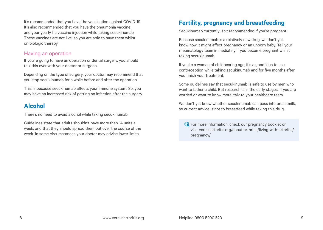It's recommended that you have the vaccination against COVID-19. It's also recommended that you have the pneumonia vaccine and your yearly flu vaccine injection while taking secukinumab. These vaccines are not live, so you are able to have them whilst on biologic therapy.

#### Having an operation

If you're going to have an operation or dental surgery, you should talk this over with your doctor or surgeon.

Depending on the type of surgery, your doctor may recommend that you stop secukinumab for a while before and after the operation.

This is because secukinumab affects your immune system. So, you may have an increased risk of getting an infection after the surgery.

#### **Alcohol**

There's no need to avoid alcohol while taking secukinumab.

Guidelines state that adults shouldn't have more than 14 units a week, and that they should spread them out over the course of the week. In some circumstances your doctor may advise lower limits.

## **Fertility, pregnancy and breastfeeding**

Secukinumab currently isn't recommended if you're pregnant.

Because secukinumab is a relatively new drug, we don't yet know how it might affect pregnancy or an unborn baby. Tell your rheumatology team immediately if you become pregnant whilst taking secukinumab.

If you're a woman of childbearing age, it's a good idea to use contraception while taking secukinumab and for five months after you finish your treatment.

Some guidelines say that secukinumab is safe to use by men who want to father a child. But research is in the early stages. If you are worried or want to know more, talk to your healthcare team.

We don't yet know whether secukinumab can pass into breastmilk, so current advice is not to breastfeed while taking this drug.

For more information, check our pregnancy booklet or visit [versusarthritis.org/about-arthritis/living-with-arthritis/](http://www.versusarthritis.org/about-arthritis/living-with-arthritis/pregnancy/) [pregnancy/](http://www.versusarthritis.org/about-arthritis/living-with-arthritis/pregnancy/)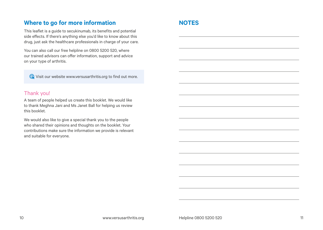#### **Where to go for more information**

This leaflet is a guide to secukinumab, its benefits and potential side effects. If there's anything else you'd like to know about this drug, just ask the healthcare professionals in charge of your care.

You can also call our free helpline on 0800 5200 520, where our trained advisors can offer information, support and advice on your type of arthritis.

Visit our website [www.versusarthritis.org](http://www.versusarthritis.org) to find out more.

#### Thank you!

A team of people helped us create this booklet. We would like to thank Meghna Jani and Ms Janet Ball for helping us review this booklet.

We would also like to give a special thank you to the people who shared their opinions and thoughts on the booklet. Your contributions make sure the information we provide is relevant and suitable for everyone.